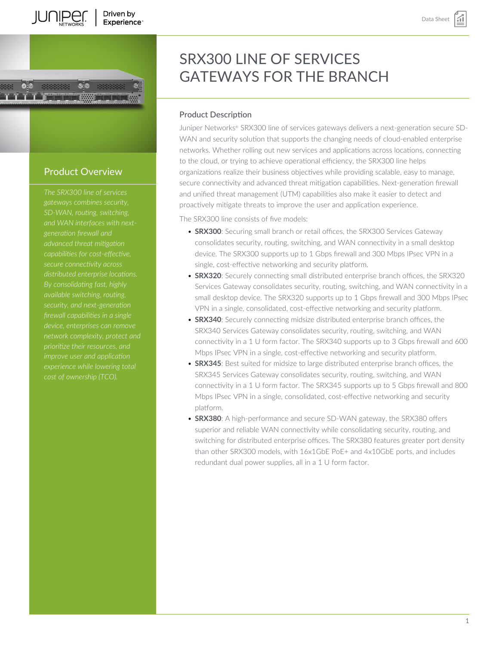# Driven by Experience<sup>®</sup>



# Product Description

Juniper Networks® SRX300 line of services gateways delivers a next-generation secure SD-WAN and security solution that supports the changing needs of cloud-enabled enterprise networks. Whether rolling out new services and applications across locations, connecting to the cloud, or trying to achieve operational efficiency, the SRX300 line helps organizations realize their business objectives while providing scalable, easy to manage, secure connectivity and advanced threat mitigation capabilities. Next-generation firewall and unified threat management (UTM) capabilities also make it easier to detect and proactively mitigate threats to improve the user and application experience.

The SRX300 line consists of five models:

- **SRX300**: Securing small branch or retail offices, the SRX300 Services Gateway consolidates security, routing, switching, and WAN connectivity in a small desktop device. The SRX300 supports up to 1 Gbps firewall and 300 Mbps IPsec VPN in a single, cost-effective networking and security platform.
- **SRX320**: Securely connecting small distributed enterprise branch offices, the SRX320 Services Gateway consolidates security, routing, switching, and WAN connectivity in a small desktop device. The SRX320 supports up to 1 Gbps firewall and 300 Mbps IPsec VPN in a single, consolidated, cost-effective networking and security platform.
- **SRX340**: Securely connecting midsize distributed enterprise branch offices, the SRX340 Services Gateway consolidates security, routing, switching, and WAN connectivity in a 1 U form factor. The SRX340 supports up to 3 Gbps firewall and 600 Mbps IPsec VPN in a single, cost-effective networking and security platform.
- **SRX345**: Best suited for midsize to large distributed enterprise branch offices, the SRX345 Services Gateway consolidates security, routing, switching, and WAN connectivity in a 1 U form factor. The SRX345 supports up to 5 Gbps firewall and 800 Mbps IPsec VPN in a single, consolidated, cost-effective networking and security platform.
- **SRX380**: A high-performance and secure SD-WAN gateway, the SRX380 offers superior and reliable WAN connectivity while consolidating security, routing, and switching for distributed enterprise offices. The SRX380 features greater port density than other SRX300 models, with 16x1GbE PoE+ and 4x10GbE ports, and includes redundant dual power supplies, all in a 1 U form factor.

# Product Overview

TEENI

*The SRX300 line of services gateways combines security, SD-WAN, routing, switching, advanced threat mitigation capabilities for cost-effective, secure connectivity across distributed enterprise locations. By consolidating fast, highly firewall capabilities in a single prioritize their resources, and improve user and application experience while lowering total*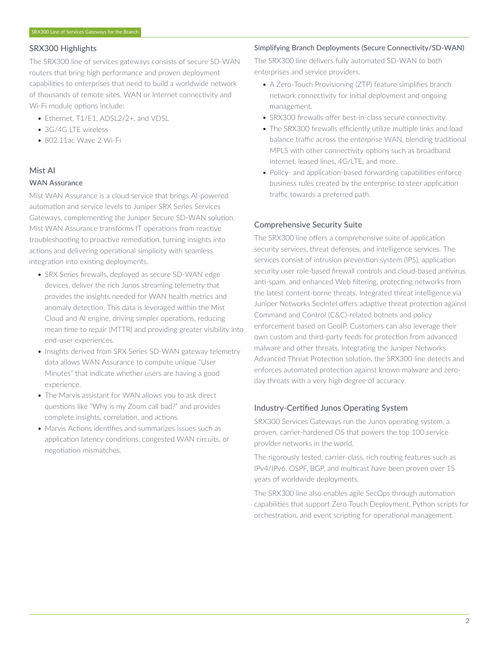# SRX300 Highlights

The SRX300 line of services gateways consists of secure SD-WAN routers that bring high performance and proven deployment capabilities to enterprises that need to build a worldwide network of thousands of remote sites. WAN or Internet connectivity and Wi-Fi module options include:

- Ethernet, T1/F1, ADSL2/2+, and VDSL
- 3G/4G LTE wireless
- 802.11ac Wave 2 Wi-Fi

# Mist AI

# WAN Assurance

Mist WAN Assurance is a cloud service that brings AI-powered automation and service levels to Juniper SRX Series Services Gateways, complementing the Juniper Secure SD-WAN solution. Mist WAN Assurance transforms IT operations from reactive troubleshooting to proactive remediation, turning insights into actions and delivering operational simplicity with seamless integration into existing deployments.

- SRX Series firewalls, deployed as secure SD-WAN edge devices, deliver the rich Junos streaming telemetry that provides the insights needed for WAN health metrics and anomaly detection. This data is leveraged within the Mist Cloud and AI engine, driving simpler operations, reducing mean time to repair (MTTR) and providing greater visibility into end-user experiences.
- Insights derived from SRX Series SD-WAN gateway telemetry data allows WAN Assurance to compute unique "User Minutes" that indicate whether users are having a good experience.
- The Marvis assistant for WAN allows you to ask direct questions like "Why is my Zoom call bad?" and provides complete insights, correlation, and actions.
- Marvis Actions identifies and summarizes issues such as application latency conditions, congested WAN circuits, or negotiation mismatches.

### Simplifying Branch Deployments (Secure Connectivity/SD-WAN)

The SRX300 line delivers fully automated SD-WAN to both enterprises and service providers.

- A Zero-Touch Provisioning (ZTP) feature simplifies branch network connectivity for initial deployment and ongoing management.
- SRX300 firewalls offer best-in-class secure connectivity.
- The SRX300 firewalls efficiently utilize multiple links and load balance traffic across the enterprise WAN, blending traditional MPLS with other connectivity options such as broadband internet, leased lines, 4G/LTE, and more.
- Policy- and application-based forwarding capabilities enforce business rules created by the enterprise to steer application traffic towards a preferred path.

# Comprehensive Security Suite

The SRX300 line offers a comprehensive suite of application security services, threat defenses, and intelligence services. The services consist of intrusion prevention system (IPS), application security user role-based firewall controls and cloud-based antivirus, anti-spam, and enhanced Web filtering, protecting networks from the latest content-borne threats. Integrated threat intelligence via Juniper Networks SecIntel offers adaptive threat protection against Command and Control (C&C)-related botnets and policy enforcement based on GeoIP. Customers can also leverage their own custom and third-party feeds for protection from advanced malware and other threats. Integrating the Juniper Networks Advanced Threat Protection solution, the SRX300 line detects and enforces automated protection against known malware and zeroday threats with a very high degree of accuracy.

# Industry-Certified Junos Operating System

SRX300 Services Gateways run the Junos operating system, a proven, carrier-hardened OS that powers the top 100 service provider networks in the world.

The rigorously tested, carrier-class, rich routing features such as IPv4/IPv6, OSPF, BGP, and multicast have been proven over 15 years of worldwide deployments.

The SRX300 line also enables agile SecOps through automation capabilities that support Zero Touch Deployment, Python scripts for orchestration, and event scripting for operational management.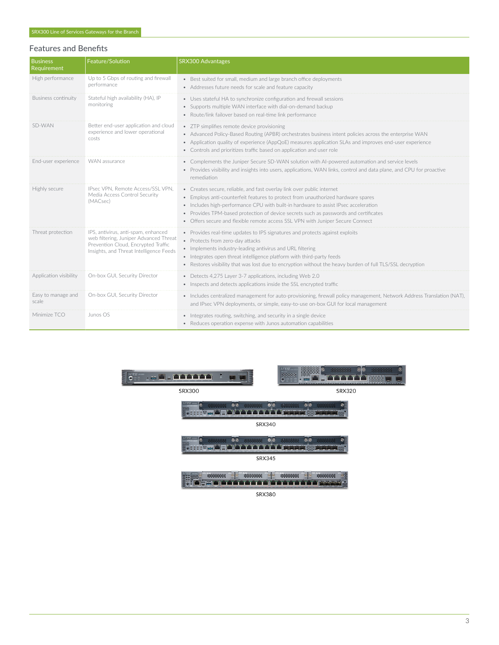# Features and Benefits

| <b>Business</b><br>Requirement | Feature/Solution                                                                                                                                                | SRX300 Advantages                                                                                                                                                                                                                                                                                                                                                                                                           |
|--------------------------------|-----------------------------------------------------------------------------------------------------------------------------------------------------------------|-----------------------------------------------------------------------------------------------------------------------------------------------------------------------------------------------------------------------------------------------------------------------------------------------------------------------------------------------------------------------------------------------------------------------------|
| High performance               | Up to 5 Gbps of routing and firewall<br>performance                                                                                                             | • Best suited for small, medium and large branch office deployments<br>• Addresses future needs for scale and feature capacity                                                                                                                                                                                                                                                                                              |
| <b>Business continuity</b>     | Stateful high availability (HA), IP<br>monitoring                                                                                                               | • Uses stateful HA to synchronize configuration and firewall sessions<br>• Supports multiple WAN interface with dial-on-demand backup<br>• Route/link failover based on real-time link performance                                                                                                                                                                                                                          |
| SD-WAN                         | Better end-user application and cloud<br>experience and lower operational<br>costs                                                                              | • ZTP simplifies remote device provisioning<br>• Advanced Policy-Based Routing (APBR) orchestrates business intent policies across the enterprise WAN<br>• Application quality of experience (AppQoE) measures application SLAs and improves end-user experience<br>• Controls and prioritizes traffic based on application and user role                                                                                   |
| End-user experience            | WAN assurance                                                                                                                                                   | • Complements the Juniper Secure SD-WAN solution with AI-powered automation and service levels<br>• Provides visibility and insights into users, applications, WAN links, control and data plane, and CPU for proactive<br>remediation                                                                                                                                                                                      |
| Highly secure                  | IPsec VPN. Remote Access/SSL VPN.<br>Media Access Control Security<br>(MACsec)                                                                                  | • Creates secure, reliable, and fast overlay link over public internet<br>• Employs anti-counterfeit features to protect from unauthorized hardware spares<br>• Includes high-performance CPU with built-in hardware to assist IPsec acceleration<br>• Provides TPM-based protection of device secrets such as passwords and certificates<br>• Offers secure and flexible remote access SSL VPN with Juniper Secure Connect |
| Threat protection              | IPS, antivirus, anti-spam, enhanced<br>web filtering, Juniper Advanced Threat<br>Prevention Cloud, Encrypted Traffic<br>Insights, and Threat Intelligence Feeds | • Provides real-time updates to IPS signatures and protects against exploits<br>• Protects from zero-day attacks<br>• Implements industry-leading antivirus and URL filtering<br>• Integrates open threat intelligence platform with third-party feeds<br>• Restores visibility that was lost due to encryption without the heavy burden of full TLS/SSL decryption                                                         |
| Application visibility         | On-box GUI, Security Director                                                                                                                                   | • Detects 4,275 Layer 3-7 applications, including Web 2.0<br>• Inspects and detects applications inside the SSL encrypted traffic                                                                                                                                                                                                                                                                                           |
| Easy to manage and<br>scale    | On-box GUI, Security Director                                                                                                                                   | • Includes centralized management for auto-provisioning, firewall policy management, Network Address Translation (NAT),<br>and IPsec VPN deployments, or simple, easy-to-use on-box GUI for local management                                                                                                                                                                                                                |
| Minimize TCO                   | Junos OS                                                                                                                                                        | • Integrates routing, switching, and security in a single device<br>• Reduces operation expense with Junos automation capabilities                                                                                                                                                                                                                                                                                          |





**SRX300** 







SRX380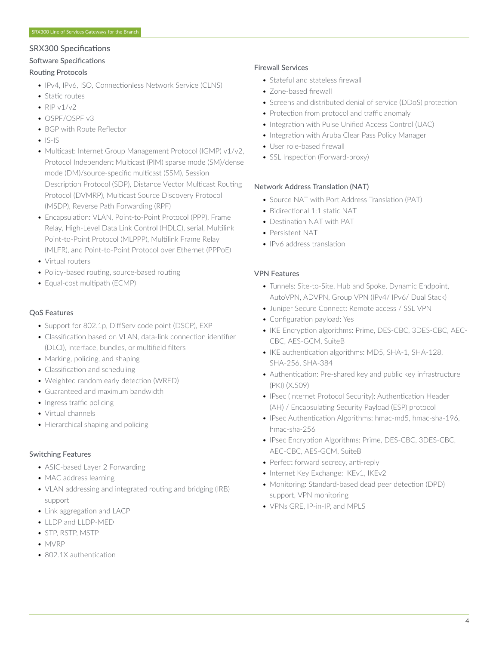# SRX300 Specifications

# Software Specifications

# Routing Protocols

- IPv4, IPv6, ISO, Connectionless Network Service (CLNS)
- Static routes
- $RIPv1/v2$
- OSPF/OSPF v3
- BGP with Route Reflector
- $\bullet$  IS-IS
- Multicast: Internet Group Management Protocol (IGMP) v1/v2, Protocol Independent Multicast (PIM) sparse mode (SM)/dense mode (DM)/source-specific multicast (SSM), Session Description Protocol (SDP), Distance Vector Multicast Routing Protocol (DVMRP), Multicast Source Discovery Protocol (MSDP), Reverse Path Forwarding (RPF)
- Encapsulation: VLAN, Point-to-Point Protocol (PPP), Frame Relay, High-Level Data Link Control (HDLC), serial, Multilink Point-to-Point Protocol (MLPPP), Multilink Frame Relay (MLFR), and Point-to-Point Protocol over Ethernet (PPPoE)
- Virtual routers
- Policy-based routing, source-based routing
- Equal-cost multipath (ECMP)

# QoS Features

- Support for 802.1p, DiffServ code point (DSCP), EXP
- Classification based on VLAN, data-link connection identifier (DLCI), interface, bundles, or multifield filters
- Marking, policing, and shaping
- Classification and scheduling
- Weighted random early detection (WRED)
- Guaranteed and maximum bandwidth
- Ingress traffic policing
- Virtual channels
- Hierarchical shaping and policing

# Switching Features

- ASIC-based Layer 2 Forwarding
- MAC address learning
- VLAN addressing and integrated routing and bridging (IRB) support
- Link aggregation and LACP
- LLDP and LLDP-MED
- STP, RSTP, MSTP
- MVRP
- 802.1X authentication

# Firewall Services

- Stateful and stateless firewall
- Zone-based firewall
- Screens and distributed denial of service (DDoS) protection
- Protection from protocol and traffic anomaly
- Integration with Pulse Unified Access Control (UAC)
- Integration with Aruba Clear Pass Policy Manager
- User role-based firewall
- SSL Inspection (Forward-proxy)

# Network Address Translation (NAT)

- Source NAT with Port Address Translation (PAT)
- Bidirectional 1:1 static NAT
- Destination NAT with PAT
- Persistent NAT
- IPv6 address translation

# VPN Features

- Tunnels: Site-to-Site, Hub and Spoke, Dynamic Endpoint, AutoVPN, ADVPN, Group VPN (IPv4/ IPv6/ Dual Stack)
- Juniper Secure Connect: Remote access / SSL VPN
- Configuration payload: Yes
- IKE Encryption algorithms: Prime, DES-CBC, 3DES-CBC, AEC-CBC, AES-GCM, SuiteB
- IKE authentication algorithms: MD5, SHA-1, SHA-128, SHA-256, SHA-384
- Authentication: Pre-shared key and public key infrastructure (PKI) (X.509)
- IPsec (Internet Protocol Security): Authentication Header (AH) / Encapsulating Security Payload (ESP) protocol
- IPsec Authentication Algorithms: hmac-md5, hmac-sha-196, hmac-sha-256
- IPsec Encryption Algorithms: Prime, DES-CBC, 3DES-CBC, AEC-CBC, AES-GCM, SuiteB
- Perfect forward secrecy, anti-reply
- Internet Key Exchange: IKEv1, IKEv2
- Monitoring: Standard-based dead peer detection (DPD) support, VPN monitoring
- VPNs GRE, IP-in-IP, and MPLS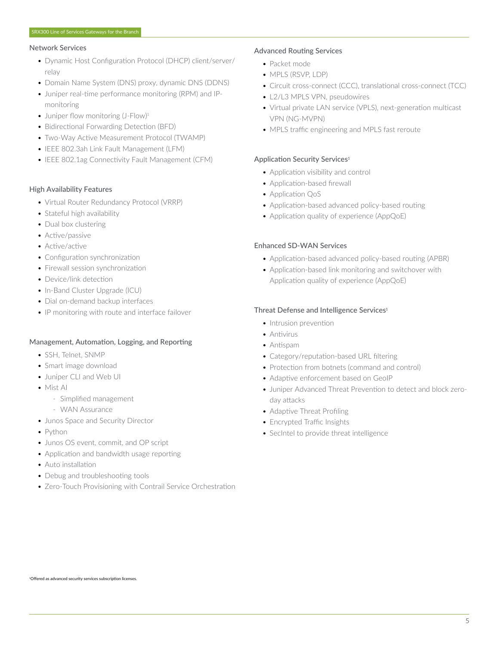#### Network Services

- Dynamic Host Configuration Protocol (DHCP) client/server/ relay
- Domain Name System (DNS) proxy, dynamic DNS (DDNS)
- Juniper real-time performance monitoring (RPM) and IPmonitoring
- Juniper flow monitoring (J-Flow)<sup>1</sup>
- Bidirectional Forwarding Detection (BFD)
- Two-Way Active Measurement Protocol (TWAMP)
- IEEE 802.3ah Link Fault Management (LFM)
- IEEE 802.1ag Connectivity Fault Management (CFM)

#### High Availability Features

- Virtual Router Redundancy Protocol (VRRP)
- Stateful high availability
- Dual box clustering
- Active/passive
- Active/active
- Configuration synchronization
- Firewall session synchronization
- Device/link detection
- In-Band Cluster Upgrade (ICU)
- Dial on-demand backup interfaces
- IP monitoring with route and interface failover

#### Management, Automation, Logging, and Reporting

- SSH, Telnet, SNMP
- Smart image download
- Juniper CLI and Web UI
- Mist AI
	- Simplified management
	- WAN Assurance
- Junos Space and Security Director
- Python
- Junos OS event, commit, and OP script
- Application and bandwidth usage reporting
- Auto installation
- Debug and troubleshooting tools
- Zero-Touch Provisioning with Contrail Service Orchestration

# Advanced Routing Services

- Packet mode
- MPLS (RSVP, LDP)
- Circuit cross-connect (CCC), translational cross-connect (TCC)
- L2/L3 MPLS VPN, pseudowires
- Virtual private LAN service (VPLS), next-generation multicast VPN (NG-MVPN)
- MPLS traffic engineering and MPLS fast reroute

# Application Security Services<sup>1</sup>

- Application visibility and control
- Application-based firewall
- Application QoS
- Application-based advanced policy-based routing
- Application quality of experience (AppQoE)

# Enhanced SD-WAN Services

- Application-based advanced policy-based routing (APBR)
- Application-based link monitoring and switchover with Application quality of experience (AppQoE)

# Threat Defense and Intelligence Services<sup>1</sup>

- Intrusion prevention
- Antivirus
- Antispam
- Category/reputation-based URL filtering
- Protection from botnets (command and control)
- Adaptive enforcement based on GeoIP
- Juniper Advanced Threat Prevention to detect and block zeroday attacks
- Adaptive Threat Profiling
- Encrypted Traffic Insights
- SecIntel to provide threat intelligence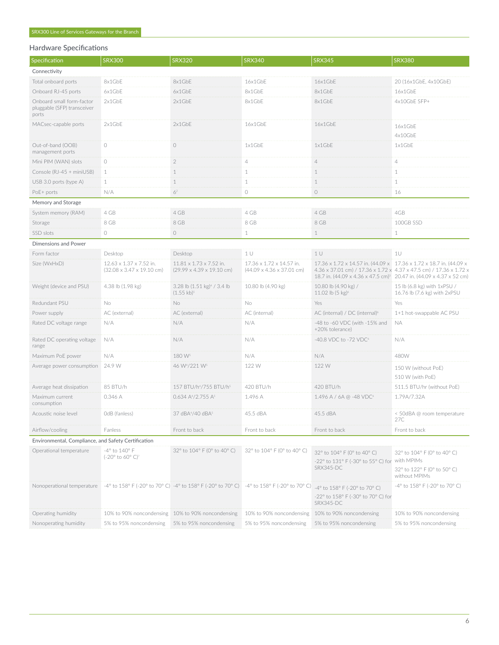# Hardware Specifications

| Specification                                                     | <b>SRX300</b>                                                            | <b>SRX320</b>                                                                             | <b>SRX340</b>                                                     | <b>SRX345</b>                                                                                                                                                                                                               | <b>SRX380</b>                                                                             |
|-------------------------------------------------------------------|--------------------------------------------------------------------------|-------------------------------------------------------------------------------------------|-------------------------------------------------------------------|-----------------------------------------------------------------------------------------------------------------------------------------------------------------------------------------------------------------------------|-------------------------------------------------------------------------------------------|
| Connectivity                                                      |                                                                          |                                                                                           |                                                                   |                                                                                                                                                                                                                             |                                                                                           |
| Total onboard ports                                               | 8x1GbE                                                                   | 8x1GbE                                                                                    | 16x1GbE                                                           | 16x1GbF                                                                                                                                                                                                                     | 20 (16x1GbE, 4x10GbE)                                                                     |
| Onboard RJ-45 ports                                               | 6x1GbE                                                                   | 6x1GbE                                                                                    | 8x1GbE                                                            | 8x1GbE                                                                                                                                                                                                                      | 16x1GbE                                                                                   |
| Onboard small form-factor<br>pluggable (SFP) transceiver<br>ports | 2x1GbE                                                                   | 2x1GbE                                                                                    | 8x1GbE                                                            | 8x1GbE                                                                                                                                                                                                                      | 4x10GbE SFP+                                                                              |
| MACsec-capable ports                                              | 2x1GbE                                                                   | 2x1GbE                                                                                    | 16x1GbE                                                           | 16x1GbE                                                                                                                                                                                                                     | 16x1GbE<br>4x10GbE                                                                        |
| Out-of-band (OOB)<br>management ports                             | $\circ$                                                                  | $\circlearrowright$                                                                       | 1x1GbE                                                            | 1x1GbE                                                                                                                                                                                                                      | 1x1GbE                                                                                    |
| Mini PIM (WAN) slots                                              | $\circlearrowright$                                                      | $\sqrt{2}$                                                                                | $\overline{4}$                                                    | $\overline{4}$                                                                                                                                                                                                              | $\overline{4}$                                                                            |
| Console (RJ-45 + miniUSB)                                         | $\mathbf{1}$                                                             | $1\,$                                                                                     | $\mathbf{1}$                                                      | $\,1\,$                                                                                                                                                                                                                     | $\mathbf 1$                                                                               |
| USB 3.0 ports (type A)                                            | $\mathbf 1$                                                              | $\,1\,$                                                                                   | $\mathbf{1}$                                                      | $\,1\,$                                                                                                                                                                                                                     | $\mathbf 1$                                                                               |
| PoE+ ports                                                        | N/A                                                                      | $6^2$                                                                                     | $\circlearrowright$                                               | $\bigcirc$                                                                                                                                                                                                                  | 16                                                                                        |
| Memory and Storage                                                |                                                                          |                                                                                           |                                                                   |                                                                                                                                                                                                                             |                                                                                           |
| System memory (RAM)                                               | 4 GB                                                                     | 4 GB                                                                                      | 4 GB                                                              | 4 GB                                                                                                                                                                                                                        | 4GB                                                                                       |
| Storage                                                           | 8 GB                                                                     | 8 GB                                                                                      | 8 GB                                                              | 8 GB                                                                                                                                                                                                                        | 100GB SSD                                                                                 |
| SSD slots                                                         | $\circ$                                                                  | $\circlearrowright$                                                                       | $\mathbf{1}$                                                      | $\mathbf 1$                                                                                                                                                                                                                 | $\mathbf 1$                                                                               |
| <b>Dimensions and Power</b>                                       |                                                                          |                                                                                           |                                                                   |                                                                                                                                                                                                                             |                                                                                           |
| Form factor                                                       | Desktop                                                                  | Desktop                                                                                   | 1 <sub>U</sub>                                                    | 1U                                                                                                                                                                                                                          | 1U                                                                                        |
| Size (WxHxD)                                                      | 12.63 x 1.37 x 7.52 in.<br>$(32.08 \times 3.47 \times 19.10 \text{ cm})$ | $11.81 \times 1.73 \times 7.52$ in.<br>$(29.99 \times 4.39 \times 19.10 \text{ cm})$      | 17.36 x 1.72 x 14.57 in.<br>$(44.09 \times 4.36 \times 37.01$ cm) | 17.36 x 1.72 x 14.57 in. (44.09 x 17.36 x 1.72 x 18.7 in. (44.09 x<br>4.36 x 37.01 cm) / 17.36 x 1.72 x 4.37 x 47.5 cm) / 17.36 x 1.72 x<br>18.7 in. (44.09 x 4.36 x 47.5 cm) <sup>3</sup> 20.47 in. (44.09 x 4.37 x 52 cm) |                                                                                           |
| Weight (device and PSU)                                           | 4.38 lb (1.98 kg)                                                        | 3.28 lb $(1.51 \text{ kg})^4$ / 3.4 lb<br>$(1.55 \text{ kb})^5$                           | 10.80 lb (4.90 kg)                                                | 10.80 lb (4.90 kg) /<br>11.02 lb $(5 \text{ kg})^6$                                                                                                                                                                         | 15 lb (6.8 kg) with 1xPSU /<br>16.76 lb (7.6 kg) with 2xPSU                               |
| Redundant PSU                                                     | No                                                                       | <b>No</b>                                                                                 | No                                                                | Yes                                                                                                                                                                                                                         | Yes                                                                                       |
| Power supply                                                      | AC (external)                                                            | AC (external)                                                                             | AC (internal)                                                     | AC (internal) / DC (internal) <sup>6</sup><br>1+1 hot-swappable AC PSU                                                                                                                                                      |                                                                                           |
| Rated DC voltage range                                            | N/A                                                                      | N/A                                                                                       | N/A                                                               | -48 to -60 VDC (with -15% and<br>+20% tolerance)                                                                                                                                                                            | <b>NA</b>                                                                                 |
| Rated DC operating voltage<br>range                               | N/A                                                                      | N/A                                                                                       | N/A                                                               | -40.8 VDC to -72 VDC <sup>6</sup>                                                                                                                                                                                           | N/A                                                                                       |
| Maximum PoE power                                                 | N/A                                                                      | 180 W <sup>s</sup>                                                                        | N/A                                                               | N/A                                                                                                                                                                                                                         | 480W                                                                                      |
| Average power consumption                                         | 24.9 W                                                                   | 46 W <sup>4</sup> /221 W <sup>5</sup>                                                     | 122 W                                                             | 122 W                                                                                                                                                                                                                       | 150 W (without PoE)<br>510 W (with PoE)                                                   |
| Average heat dissipation                                          | 85 BTU/h                                                                 | 157 BTU/h <sup>4</sup> /755 BTU/h <sup>5</sup>                                            | 420 BTU/h                                                         | 420 BTU/h                                                                                                                                                                                                                   | 511.5 BTU/hr (without PoE)                                                                |
| Maximum current<br>consumption                                    | 0.346 A                                                                  | 0.634 A <sup>4</sup> /2.755 A <sup>5</sup>                                                | 1.496 A                                                           | 1.496 A / 6A @ -48 VDC <sup>6</sup>                                                                                                                                                                                         | 1.79A/7.32A                                                                               |
| Acoustic noise level                                              | OdB (fanless)                                                            | 37 dBA <sup>4</sup> /40 dBA <sup>5</sup>                                                  | 45.5 dBA                                                          | 45.5 dBA                                                                                                                                                                                                                    | < 50dBA @ room temperature<br>27C                                                         |
| Airflow/cooling                                                   | Fanless                                                                  | Front to back                                                                             | Front to back                                                     | Front to back                                                                                                                                                                                                               | Front to back                                                                             |
| Environmental, Compliance, and Safety Certification               |                                                                          |                                                                                           |                                                                   |                                                                                                                                                                                                                             |                                                                                           |
| Operational temperature                                           | -4° to 140° F<br>$(-20^{\circ}$ to 60° C) <sup>7</sup>                   | 32° to 104° F (0° to 40° C)                                                               | 32° to 104° F (0° to 40° C)                                       | 32° to 104° F (0° to 40° C)<br>$-22^{\circ}$ to 131° F (-30° to 55° C) for<br>SRX345-DC                                                                                                                                     | 32° to 104° F (0° to 40° C)<br>with MPIMs<br>32° to 122° F (0° to 50° C)<br>without MPIMs |
| Nonoperational temperature                                        |                                                                          | -4° to 158° F (-20° to 70° C) -4° to 158° F (-20° to 70° C) -4° to 158° F (-20° to 70° C) |                                                                   | -4° to 158° F (-20° to 70° C)<br>-22° to 158° F (-30° to 70° C) for<br>SRX345-DC                                                                                                                                            | -4° to 158° F (-20° to 70° C)                                                             |
| Operating humidity                                                |                                                                          | 10% to 90% noncondensing 10% to 90% noncondensing                                         |                                                                   | 10% to 90% noncondensing 10% to 90% noncondensing                                                                                                                                                                           | 10% to 90% noncondensing                                                                  |
| Nonoperating humidity                                             | 5% to 95% noncondensing 5% to 95% noncondensing                          |                                                                                           | 5% to 95% noncondensing                                           | 5% to 95% noncondensing                                                                                                                                                                                                     | 5% to 95% noncondensing                                                                   |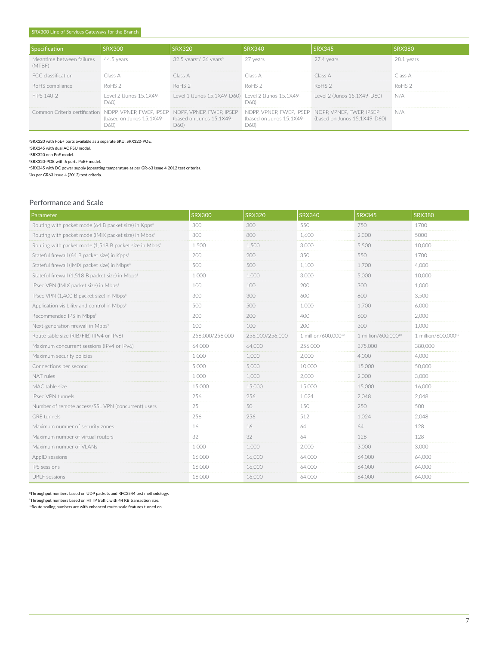|                                                | SRX300                                            | RX320                                                                                                                             | <b>SRX340</b> | <b>SRX345</b>                                                                                                                             |                   |
|------------------------------------------------|---------------------------------------------------|-----------------------------------------------------------------------------------------------------------------------------------|---------------|-------------------------------------------------------------------------------------------------------------------------------------------|-------------------|
| Meantime between failures 44.5 years<br>(MTBF) |                                                   | $32.5$ years <sup>4</sup> / 26 years <sup>5</sup>                                                                                 | 27 years      | 27.4 years                                                                                                                                | 28.1 vears        |
| ECC classification                             |                                                   |                                                                                                                                   |               |                                                                                                                                           | lass A            |
| RoHS compliance                                | RoHS 2                                            | ROHS <sub>2</sub>                                                                                                                 | RoHS 2        |                                                                                                                                           | RoHS <sub>2</sub> |
| FIPS 140-2                                     | D60).                                             |                                                                                                                                   | D60)          | Level 2 (Junos 15.1X49-<br>Level 2 (Junos 15.1X49-D60) Level 1 (Junos 15.1X49-D60) Level 2 (Junos 15.1X49-<br>Level 2 (Junos 15.1X49-D60) | N/A               |
|                                                | (based on Junos 15.1X49- (based on Junos 15.1X49- | Common Criteria certification NDPP, VPNEP, FWEP, IPSEP NDPP, VPNEP, FWEP, IPSEP NDPP, VPNEP, FWEP, IPSEP NDPP, VPNEP, FWEP, IPSEP | D60).         | (based on Junos 15.1X49- (based on Junos 15.1X49-D60)                                                                                     | N/A               |

<sup>2</sup>SRX320 with PoE+ ports available as a separate SKU: SRX320-POE.

<sup>3</sup>SRX345 with dual AC PSU model.

<sup>4</sup>SRX320 non PoE model.

<sup>5</sup>SRX320-POE with 6 ports PoE+ model.

<sup>6</sup>SRX345 with DC power supply (operating temperature as per GR-63 Issue 4 2012 test criteria).

<sup>7</sup>As per GR63 Issue 4 (2012) test criteria.

## Performance and Scale

| Parameter                                                          | <b>SRX300</b>   | <b>SRX320</b>   | <b>SRX340</b>       | <b>SRX345</b>       | <b>SRX380</b>       |
|--------------------------------------------------------------------|-----------------|-----------------|---------------------|---------------------|---------------------|
| Routing with packet mode (64 B packet size) in Kpps <sup>8</sup>   | 300             | 300             | 550                 | 750                 | 1700                |
| Routing with packet mode (IMIX packet size) in Mbps <sup>8</sup>   | 800             | 800             | 1.600               | 2.300               | 5000                |
| Routing with packet mode (1,518 B packet size in Mbps <sup>8</sup> | 1,500           | 1,500           | 3,000               | 5,500               | 10,000              |
| Stateful firewall (64 B packet size) in Kpps <sup>8</sup>          | 200             | 200             | 350                 | 550                 | 1700                |
| Stateful firewall (IMIX packet size) in Mbps <sup>8</sup>          | 500             | 500             | 1,100               | 1.700               | 4.000               |
| Stateful firewall (1,518 B packet size) in Mbps <sup>8</sup>       | 1,000           | 1.000           | 3.000               | 5.000               | 10,000              |
| IPsec VPN (IMIX packet size) in Mbps <sup>8</sup>                  | 100             | 100             | 200                 | 300                 | 1.000               |
| IPsec VPN (1,400 B packet size) in Mbps <sup>8</sup>               | 300             | 300             | 600                 | 800                 | 3.500               |
| Application visibility and control in Mbps <sup>9</sup>            | 500             | 500             | 1,000               | 1.700               | 6.000               |
| Recommended IPS in Mbps <sup>9</sup>                               | 200             | 200             | 400                 | 600                 | 2.000               |
| Next-generation firewall in Mbps <sup>9</sup>                      | 100             | 100             | 200                 | 300                 | 1.000               |
| Route table size (RIB/FIB) (IPv4 or IPv6)                          | 256,000/256,000 | 256.000/256.000 | 1 million/600.00010 | 1 million/600.00010 | 1 million/600.00010 |
| Maximum concurrent sessions (IPv4 or IPv6)                         | 64.000          | 64,000          | 256,000             | 375,000             | 380,000             |
| Maximum security policies                                          | 1.000           | 1.000           | 2.000               | 4.000               | 4.000               |
| Connections per second                                             | 5,000           | 5.000           | 10,000              | 15,000              | 50,000              |
| NAT rules                                                          | 1.000           | 1.000           | 2.000               | 2.000               | 3,000               |
| MAC table size                                                     | 15,000          | 15,000          | 15,000              | 15,000              | 16,000              |
| IPsec VPN tunnels                                                  | 256             | 256             | 1.024               | 2.048               | 2.048               |
| Number of remote access/SSL VPN (concurrent) users                 | 25              | 50              | 150                 | 250                 | 500                 |
| GRF tunnels                                                        | 256             | 256             | 512                 | 1.024               | 2.048               |
| Maximum number of security zones                                   | 16              | 16              | 64                  | 64                  | 128                 |
| Maximum number of virtual routers                                  | 32              | 32              | 64                  | 128                 | 128                 |
| Maximum number of VLANs                                            | 1.000           | 1.000           | 2.000               | 3.000               | 3.000               |
| AppID sessions                                                     | 16,000          | 16.000          | 64,000              | 64,000              | 64,000              |
| IPS sessions                                                       | 16,000          | 16,000          | 64,000              | 64,000              | 64,000              |
| <b>URLF</b> sessions                                               | 16,000          | 16,000          | 64,000              | 64,000              | 64,000              |

<sup>8</sup>Throughput numbers based on UDP packets and RFC2544 test methodology.

<sup>9</sup>Throughput numbers based on HTTP traffic with 44 KB transaction size.

<sup>10</sup>Route scaling numbers are with enhanced route-scale features turned on.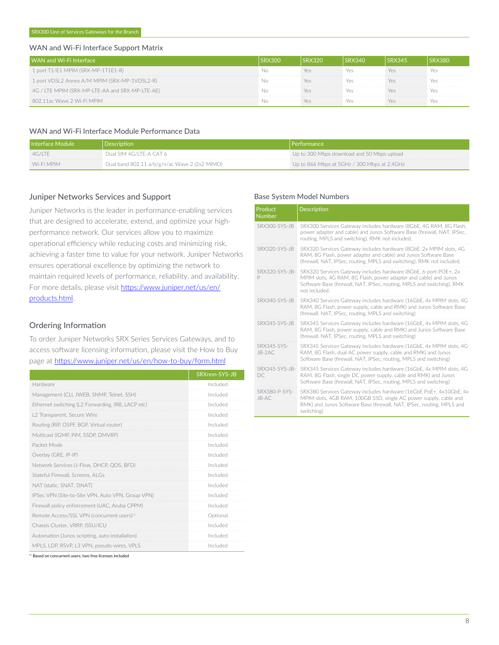#### WAN and Wi-Fi Interface Support Matrix

| WAN and Wi-Fi Interface                         |  | X340 |  |
|-------------------------------------------------|--|------|--|
| 1 port T1/E1 MPIM (SRX-MP-1T1E1-R)              |  |      |  |
| 1 port VDSL2 Annex A/M MPIM (SRX-MP-1VDSL2-R)   |  |      |  |
| 4G / LTE MPIM (SRX-MP-LTE-AA and SRX-MP-LTE-AE) |  |      |  |
| 802.11ac Wave 2 Wi-Fi MPIM                      |  |      |  |

## WAN and Wi-Fi Interface Module Performance Data

| Interface Module | Description                                   | Performance                                 |
|------------------|-----------------------------------------------|---------------------------------------------|
| 4G/ITE           | Dual SIM 4G/LTE-A CAT 6                       | Up to 300 Mbps download and 50 Mbps upload  |
| Wi-Fi MPIM       | Dual band 802.11 a/b/g/n/ac Wave 2 (2x2 MIMO) | Up to 866 Mbps at 5GHz / 300 Mbps at 2.4GHz |

# Juniper Networks Services and Support

Juniper Networks is the leader in performance-enabling services that are designed to accelerate, extend, and optimize your highperformance network. Our services allow you to maximize operational efficiency while reducing costs and minimizing risk, achieving a faster time to value for your network. Juniper Networks ensures operational excellence by optimizing the network to maintain required levels of performance, reliability, and availability. For more details, please visit [https://www.juniper.net/us/en/](https://www.juniper.net/us/en/products.html) [products.html.](https://www.juniper.net/us/en/products.html)

# Ordering Information

To order Juniper Networks SRX Series Services Gateways, and to access software licensing information, please visit the How to Buy page at <https://www.juniper.net/us/en/how-to-buy/form.html>

|                                                        | SRXnnn-SYS-JB |
|--------------------------------------------------------|---------------|
| Hardware                                               | Included      |
| Management (CLI, JWEB, SNMP, Telnet, SSH)              | Included      |
| Ethernet switching (L2 Forwarding, IRB, LACP etc)      | Included      |
| L2 Transparent, Secure Wire                            | Included      |
| Routing (RIP, OSPF, BGP, Virtual router)               | Included      |
| Multicast (IGMP, PIM, SSDP, DMVRP)                     | Included      |
| Packet Mode                                            | Included      |
| Overlay (GRE, IP-IP)                                   | Included      |
| Network Services (J-Flow, DHCP, QOS, BFD)              | Included      |
| Stateful Firewall, Screens, ALGs                       | Included      |
| NAT (static, SNAT, DNAT)                               | Included      |
| IPSec VPN (Site-to-Site VPN, Auto VPN, Group VPN)      | Included      |
| Firewall policy enforcement (UAC, Aruba CPPM)          | Included      |
| Remote Access/SSL VPN (concurrent users) <sup>11</sup> | Optional      |
| Chassis Cluster, VRRP, ISSU/ICU                        | Included      |
| Automation (Junos scripting, auto-installation)        | Included      |
| MPLS, LDP, RSVP, L3 VPN, pseudo-wires, VPLS            | Included      |

#### Base System Model Numbers

| Product<br><b>Number</b> | <b>Description</b>                                                                                                                                                                                                              |
|--------------------------|---------------------------------------------------------------------------------------------------------------------------------------------------------------------------------------------------------------------------------|
| <b>SRX300-SYS-JB</b>     | SRX300 Services Gateway includes hardware (8GbE, 4G RAM, 8G Flash,<br>power adapter and cable) and Junos Software Base (firewall, NAT, IPSec,<br>routing, MPLS and switching). RMK not included.                                |
| SRX320-SYS-JB            | SRX320 Services Gateway includes hardware (8GbE, 2x MPIM slots, 4G<br>RAM, 8G Flash, power adapter and cable) and Junos Software Base<br>(firewall, NAT, IPSec, routing, MPLS and switching). RMK not included.                 |
| SRX320-SYS-JB-<br>P      | SRX320 Services Gateway includes hardware (8GbE, 6-port POE+, 2x<br>MPIM slots, 4G RAM, 8G Flash, power adapter and cable) and Junos<br>Software Base (firewall, NAT, IPSec, routing, MPLS and switching). RMK<br>not included. |
| SRX340-SYS-JB            | SRX340 Services Gateway includes hardware (16GbE, 4x MPIM slots, 4G<br>RAM, 8G Flash, power supply, cable and RMK) and Junos Software Base<br>(firewall, NAT, IPSec, routing, MPLS and switching)                               |
| SRX345-SYS-JB            | SRX345 Services Gateway includes hardware (16GbE, 4x MPIM slots, 4G<br>RAM, 8G Flash, power supply, cable and RMK) and Junos Software Base<br>(firewall, NAT, IPSec, routing, MPLS and switching)                               |
| SRX345-SYS-<br>JB-2AC    | SRX345 Services Gateway includes hardware (16GbE, 4x MPIM slots, 4G<br>RAM, 8G Flash, dual AC power supply, cable and RMK) and Junos<br>Software Base (firewall, NAT, IPSec, routing, MPLS and switching)                       |
| SRX345-SYS-JB-<br>DC.    | SRX345 Services Gateway includes hardware (16GbE, 4x MPIM slots, 4G<br>RAM, 8G Flash, single DC power supply, cable and RMK) and Junos<br>Software Base (firewall, NAT, IPSec, routing, MPLS and switching)                     |
| SRX380-P-SYS-<br>JB-AC   | SRX380 Services Gateway includes hardware (16GbE PoE+, 4x10GbE, 4x<br>MPIM slots, 4GB RAM, 100GB SSD, single AC power supply, cable and<br>RMK) and Junos Software Base (firewall, NAT, IPSec, routing, MPLS and<br>switching)  |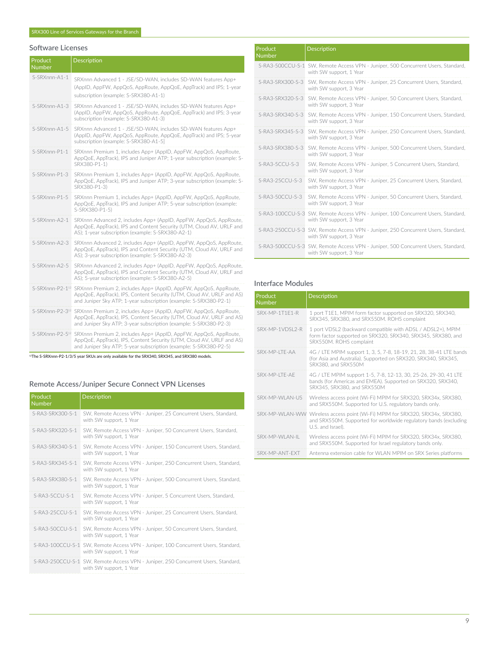# Software Licenses

| Product<br>Number | <b>Description</b>                                                                                                                                                                                                                         |
|-------------------|--------------------------------------------------------------------------------------------------------------------------------------------------------------------------------------------------------------------------------------------|
| S-SRXnnn-A1-1     | SRXnnn Advanced 1 - JSE/SD-WAN, includes SD-WAN features App+<br>(AppID, AppFW, AppQoS, AppRoute, AppQoE, AppTrack) and IPS; 1-year<br>subscription (example: S-SRX380-A1-1)                                                               |
| S-SRXnnn-A1-3     | SRXnnn Advanced 1 - JSE/SD-WAN, includes SD-WAN features App+<br>(AppID, AppFW, AppQoS, AppRoute, AppQoE, AppTrack) and IPS; 3-year<br>subscription (example: S-SRX380-A1-3)                                                               |
| S-SRXnnn-A1-5     | SRXnnn Advanced 1 - JSE/SD-WAN, includes SD-WAN features App+<br>(AppID, AppFW, AppQoS, AppRoute, AppQoE, AppTrack) and IPS; 5-year<br>subscription (example: S-SRX380-A1-5]                                                               |
| S-SRXnnn-P1-1     | SRXnnn Premium 1, includes App+ (AppID, AppFW, AppQoS, AppRoute,<br>AppQoE, AppTrack), IPS and Juniper ATP; 1-year subscription (example: S-<br>SRX380-P1-1)                                                                               |
| S-SRXnnn-P1-3     | SRXnnn Premium 1, includes App+ (AppID, AppFW, AppQoS, AppRoute,<br>AppQoE, AppTrack), IPS and Juniper ATP; 3-year subscription (example: S-<br>SRX380-P1-3)                                                                               |
| S-SRXnnn-P1-5     | SRXnnn Premium 1, includes App+ (AppID, AppFW, AppQoS, AppRoute,<br>AppQoE, AppTrack), IPS and Juniper ATP; 5-year subscription (example:<br>S-SRX380-P1-5)                                                                                |
| S-SRXnnn-A2-1     | SRXnnn Advanced 2, includes App+ (AppID, AppFW, AppQoS, AppRoute,<br>AppQoE, AppTrack), IPS and Content Security (UTM, Cloud AV, URLF and<br>AS); 1-year subscription (example: S-SRX380-A2-1)                                             |
| S-SRXnnn-A2-3     | SRXnnn Advanced 2, includes App+ (AppID, AppFW, AppQoS, AppRoute,<br>AppQoE, AppTrack), IPS and Content Security (UTM, Cloud AV, URLF and<br>AS); 3-year subscription (example: S-SRX380-A2-3)                                             |
| S-SRXnnn-A2-5     | SRXnnn Advanced 2, includes App+ (AppID, AppFW, AppQoS, AppRoute,<br>AppQoE, AppTrack), IPS and Content Security (UTM, Cloud AV, URLF and<br>AS); 5-year subscription (example: S-SRX380-A2-5)                                             |
|                   | S-SRXnnn-P2-1 <sup>12</sup> SRXnnn Premium 2, includes App+ (AppID, AppFW, AppQoS, AppRoute,<br>AppQoE, AppTrack), IPS, Content Security (UTM, Cloud AV, URLF and AS)<br>and Juniper Sky ATP; 1-year subscription (example: S-SRX380-P2-1) |
|                   | S-SRXnnn-P2-3 <sup>12</sup> SRXnnn Premium 2, includes App+ (AppID, AppFW, AppQoS, AppRoute,<br>AppQoE, AppTrack), IPS, Content Security (UTM, Cloud AV, URLF and AS)<br>and Juniper Sky ATP; 3-year subscription (example: S-SRX380-P2-3) |
|                   | S-SRXnnn-P2-5 <sup>12</sup> SRXnnn Premium 2, includes App+ (AppID, AppFW, AppQoS, AppRoute,<br>AppQoE, AppTrack), IPS, Content Security (UTM, Cloud AV, URLF and AS)<br>and Juniper Sky ATP; 5-year subscription (example: S-SRX380-P2-5) |

<sup>12</sup>The S-SRXnnn-P2-1/3/5 year SKUs are only available for the SRX340, SRX345, and SRX380 models.

# Remote Access/Juniper Secure Connect VPN Licenses

| Product<br><b>Number</b> | <b>Description</b>                                                                                           |
|--------------------------|--------------------------------------------------------------------------------------------------------------|
| S-RA3-SRX300-S-1         | SW, Remote Access VPN - Juniper, 25 Concurrent Users, Standard,<br>with SW support, 1 Year                   |
| S-RA3-SRX320-S-1         | SW, Remote Access VPN - Juniper, 50 Concurrent Users, Standard,<br>with SW support, 1 Year                   |
| S-RA3-SRX340-S-1         | SW, Remote Access VPN - Juniper, 150 Concurrent Users, Standard,<br>with SW support, 1 Year                  |
| $S-RA3-SRX345-S-1$       | SW, Remote Access VPN - Juniper, 250 Concurrent Users, Standard,<br>with SW support, 1 Year                  |
| S-RA3-SRX380-S-1         | SW, Remote Access VPN - Juniper, 500 Concurrent Users, Standard,<br>with SW support, 1 Year                  |
| $S-RA3-5CCLJ-S-1$        | SW, Remote Access VPN - Juniper, 5 Concurrent Users, Standard,<br>with SW support, 1 Year                    |
| S-RA3-25CCU-S-1          | SW, Remote Access VPN - Juniper, 25 Concurrent Users, Standard,<br>with SW support, 1 Year                   |
| S-RA3-50CCU-S-1          | SW, Remote Access VPN - Juniper, 50 Concurrent Users, Standard,<br>with SW support, 1 Year                   |
|                          | S-RA3-100CCU-S-1 SW, Remote Access VPN - Juniper, 100 Concurrent Users, Standard,<br>with SW support, 1 Year |
|                          | S-RA3-250CCU-S-1 SW, Remote Access VPN - Juniper, 250 Concurrent Users, Standard,<br>with SW support, 1 Year |

| Product           |                                                                                                              |
|-------------------|--------------------------------------------------------------------------------------------------------------|
| <b>Number</b>     | <b>Description</b>                                                                                           |
|                   | S-RA3-500CCU-S-1 SW, Remote Access VPN - Juniper, 500 Concurrent Users, Standard,<br>with SW support, 1 Year |
|                   | S-RA3-SRX300-S-3 SW, Remote Access VPN - Juniper, 25 Concurrent Users, Standard,<br>with SW support, 3 Year  |
|                   | S-RA3-SRX320-S-3 SW, Remote Access VPN - Juniper, 50 Concurrent Users, Standard,<br>with SW support, 3 Year  |
|                   | S-RA3-SRX340-S-3 SW, Remote Access VPN - Juniper, 150 Concurrent Users, Standard,<br>with SW support, 3 Year |
| S-RA3-SRX345-S-3  | SW, Remote Access VPN - Juniper, 250 Concurrent Users, Standard,<br>with SW support, 3 Year                  |
| S-RA3-SRX380-S-3  | SW, Remote Access VPN - Juniper, 500 Concurrent Users, Standard,<br>with SW support, 3 Year                  |
| $S-RA3-5CCU-S-3$  | SW, Remote Access VPN - Juniper, 5 Concurrent Users, Standard,<br>with SW support, 3 Year                    |
| S-RA3-25CCU-S-3   | SW, Remote Access VPN - Juniper, 25 Concurrent Users, Standard,<br>with SW support, 3 Year                   |
| $S-RA3-50CCU-S-3$ | SW, Remote Access VPN - Juniper, 50 Concurrent Users, Standard,<br>with SW support, 3 Year                   |
|                   | S-RA3-100CCU-S-3 SW, Remote Access VPN - Juniper, 100 Concurrent Users, Standard,<br>with SW support, 3 Year |
|                   | S-RA3-250CCU-S-3 SW, Remote Access VPN - Juniper, 250 Concurrent Users, Standard,<br>with SW support, 3 Year |
|                   | S-RA3-500CCU-S-3 SW, Remote Access VPN - Juniper, 500 Concurrent Users, Standard,<br>with SW support, 3 Year |

# Interface Modules

| Product<br><b>Number</b> | Description                                                                                                                                                            |
|--------------------------|------------------------------------------------------------------------------------------------------------------------------------------------------------------------|
| SRX-MP-1T1F1-R           | 1 port T1E1, MPIM form factor supported on SRX320, SRX340,<br>SRX345, SRX380, and SRX550M. ROHS complaint                                                              |
| SRX-MP-1VDSL2-R          | 1 port VDSL2 (backward compatible with ADSL / ADSL2+), MPIM<br>form factor supported on SRX320, SRX340, SRX345, SRX380, and<br>SRX550M. ROHS complaint                 |
| SRX-MP-ITF-AA            | 4G / LTE MPIM support 1, 3, 5, 7-8, 18-19, 21, 28, 38-41 LTE bands<br>(for Asia and Australia). Supported on SRX320, SRX340, SRX345,<br>SRX380, and SRX550M            |
| SRX-MP-ITF-AF            | 4G / LTE MPIM support 1-5, 7-8, 12-13, 30, 25-26, 29-30, 41 LTE<br>bands (for Americas and EMEA). Supported on SRX320, SRX340,<br>SRX345, SRX380, and SRX550M          |
| SRX-MP-WI AN-US          | Wireless access point (Wi-Fi) MPIM for SRX320, SRX34x, SRX380,<br>and SRX550M. Supported for U.S. regulatory bands only.                                               |
|                          | SRX-MP-WLAN-WW Wireless access point (Wi-Fi) MPIM for SRX320, SRX34x, SRX380,<br>and SRX550M. Supported for worldwide regulatory bands (excluding<br>U.S. and Israel). |
| SRX-MP-WI AN-II          | Wireless access point (Wi-Fi) MPIM for SRX320, SRX34x, SRX380,<br>and SRX550M. Supported for Israel regulatory bands only.                                             |
| SRX-MP-ANT-FXT           | Antenna extension cable for WLAN MPIM on SRX Series platforms                                                                                                          |